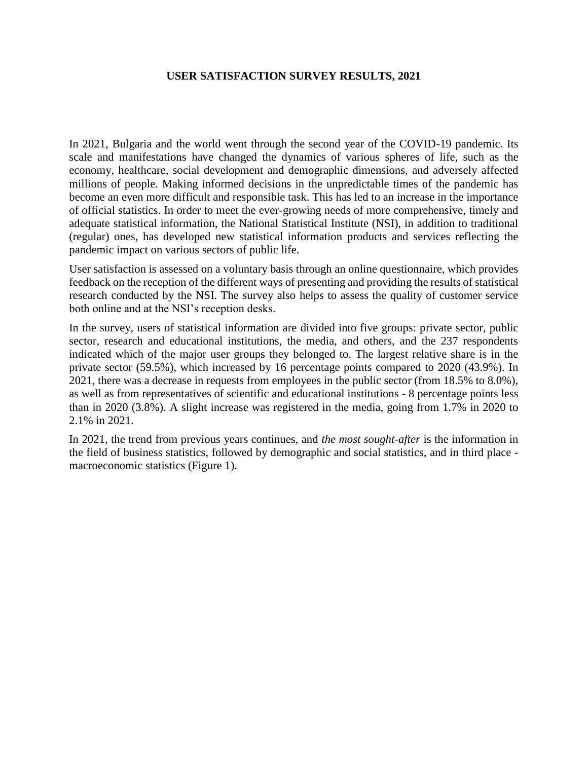## **USER SATISFACTION SURVEY RESULTS, 2021**

In 2021, Bulgaria and the world went through the second year of the COVID-19 pandemic. Its scale and manifestations have changed the dynamics of various spheres of life, such as the economy, healthcare, social development and demographic dimensions, and adversely affected millions of people. Making informed decisions in the unpredictable times of the pandemic has become an even more difficult and responsible task. This has led to an increase in the importance of official statistics. In order to meet the ever-growing needs of more comprehensive, timely and adequate statistical information, the National Statistical Institute (NSI), in addition to traditional (regular) ones, has developed new statistical information products and services reflecting the pandemic impact on various sectors of public life.

User satisfaction is assessed on a voluntary basis through an online questionnaire, which provides feedback on the reception of the different ways of presenting and providing the results of statistical research conducted by the NSI. The survey also helps to assess the quality of customer service both online and at the NSI's reception desks.

In the survey, users of statistical information are divided into five groups: private sector, public sector, research and educational institutions, the media, and others, and the 237 respondents indicated which of the major user groups they belonged to. The largest relative share is in the private sector (59.5%), which increased by 16 percentage points compared to 2020 (43.9%). In 2021, there was a decrease in requests from employees in the public sector (from 18.5% to 8.0%), as well as from representatives of scientific and educational institutions - 8 percentage points less than in 2020 (3.8%). A slight increase was registered in the media, going from 1.7% in 2020 to 2.1% in 2021.

In 2021, the trend from previous years continues, and *the most sought-after* is the information in the field of business statistics, followed by demographic and social statistics, and in third place macroeconomic statistics (Figure 1).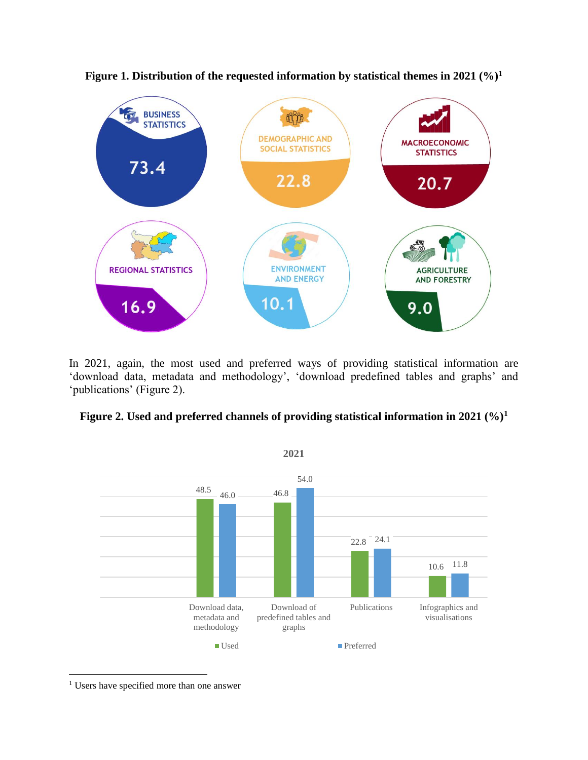

**Figure 1. Distribution of the requested information by statistical themes in 2021 (%)<sup>1</sup>**

In 2021, again, the most used and preferred ways of providing statistical information are 'download data, metadata and methodology', 'download predefined tables and graphs' and 'publications' (Figure 2).





<sup>&</sup>lt;sup>1</sup> Users have specified more than one answer

 $\overline{a}$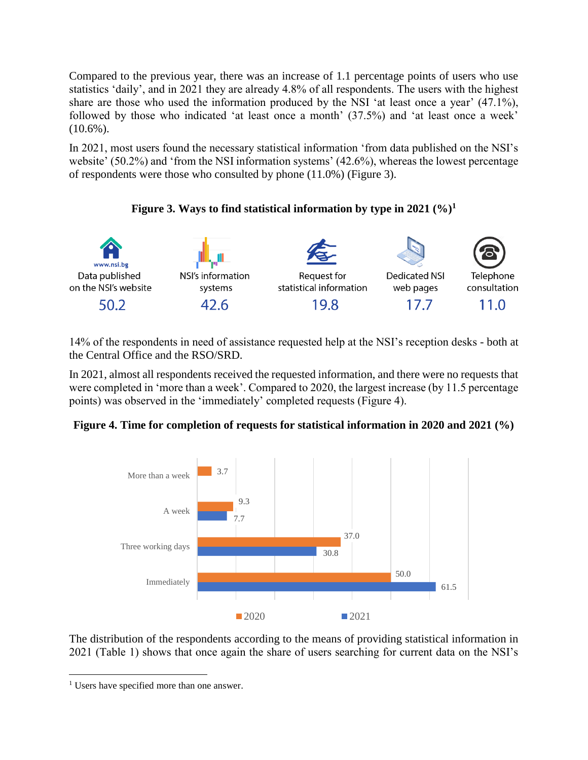Compared to the previous year, there was an increase of 1.1 percentage points of users who use statistics 'daily', and in 2021 they are already 4.8% of all respondents. The users with the highest share are those who used the information produced by the NSI 'at least once a year' (47.1%), followed by those who indicated 'at least once a month' (37.5%) and 'at least once a week'  $(10.6\%)$ .

In 2021, most users found the necessary statistical information 'from data published on the NSI's website' (50.2%) and 'from the NSI information systems' (42.6%), whereas the lowest percentage of respondents were those who consulted by phone (11.0%) (Figure 3).

## **Figure 3. Ways to find statistical information by type in 2021 (%)<sup>1</sup>**



14% of the respondents in need of assistance requested help at the NSI's reception desks - both at the Central Office and the RSO/SRD.

In 2021, almost all respondents received the requested information, and there were no requests that were completed in 'more than a week'. Compared to 2020, the largest increase (by 11.5 percentage points) was observed in the 'immediately' completed requests (Figure 4).





The distribution of the respondents according to the means of providing statistical information in 2021 (Table 1) shows that once again the share of users searching for current data on the NSI's

 $\overline{a}$ 

<sup>&</sup>lt;sup>1</sup> Users have specified more than one answer.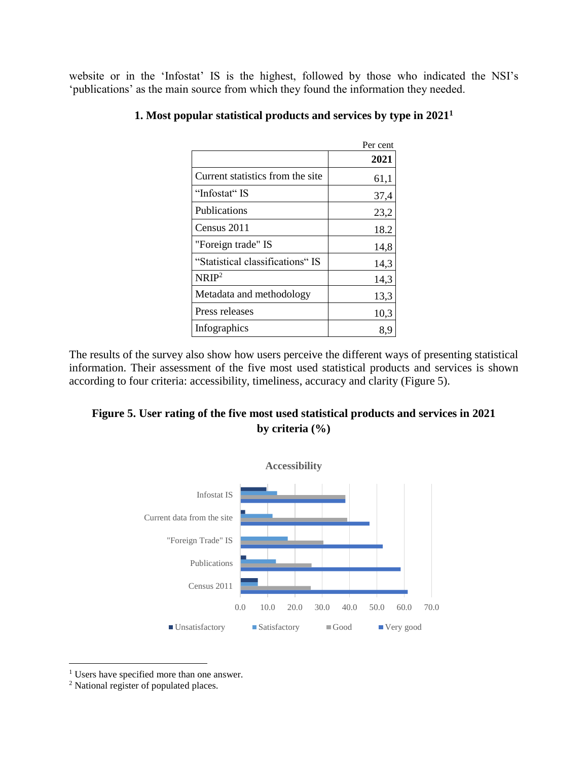website or in the 'Infostat' IS is the highest, followed by those who indicated the NSI's 'publications' as the main source from which they found the information they needed.

|                                   | Per cent |
|-----------------------------------|----------|
|                                   | 2021     |
| Current statistics from the site. | 61,1     |
| "Infostat" IS                     | 37,4     |
| <b>Publications</b>               | 23,2     |
| Census 2011                       | 18.2     |
| "Foreign trade" IS                | 14,8     |
| "Statistical classifications" IS  | 14,3     |
| NRIP <sup>2</sup>                 | 14,3     |
| Metadata and methodology          | 13,3     |
| Press releases                    | 10,3     |
| Infographics                      | 8,9      |

## **1. Most popular statistical products and services by type in 2021<sup>1</sup>**

The results of the survey also show how users perceive the different ways of presenting statistical information. Their assessment of the five most used statistical products and services is shown according to four criteria: accessibility, timeliness, accuracy and clarity (Figure 5).

## **Figure 5. User rating of the five most used statistical products and services in 2021 by criteria (%)**



<sup>&</sup>lt;sup>1</sup> Users have specified more than one answer.

 $\overline{a}$ 

<sup>2</sup> National register of populated places.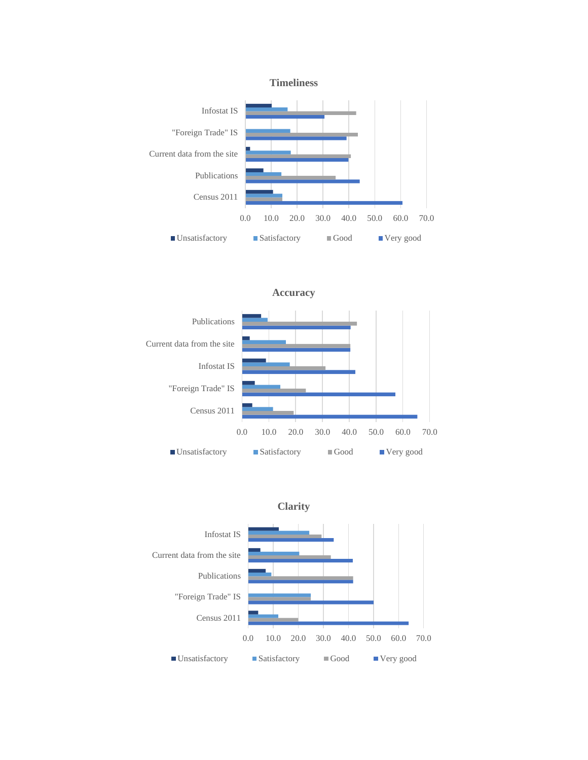